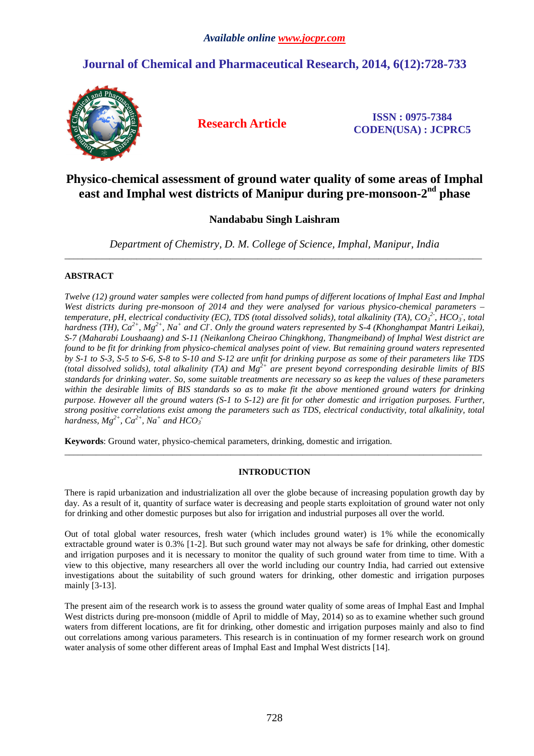# **Journal of Chemical and Pharmaceutical Research, 2014, 6(12):728-733**



**Research Article ISSN : 0975-7384 CODEN(USA) : JCPRC5**

# **Physico-chemical assessment of ground water quality of some areas of Imphal east and Imphal west districts of Manipur during pre-monsoon-2nd phase**

# **Nandababu Singh Laishram**

*Department of Chemistry, D. M. College of Science, Imphal, Manipur, India*  \_\_\_\_\_\_\_\_\_\_\_\_\_\_\_\_\_\_\_\_\_\_\_\_\_\_\_\_\_\_\_\_\_\_\_\_\_\_\_\_\_\_\_\_\_\_\_\_\_\_\_\_\_\_\_\_\_\_\_\_\_\_\_\_\_\_\_\_\_\_\_\_\_\_\_\_\_\_\_\_\_\_\_\_\_\_\_\_\_\_\_\_\_

# **ABSTRACT**

*Twelve (12) ground water samples were collected from hand pumps of different locations of Imphal East and Imphal West districts during pre-monsoon of 2014 and they were analysed for various physico-chemical parameters – temperature, pH, electrical conductivity (EC), TDS (total dissolved solids), total alkalinity (TA),*  $CO_3^2$ *, HCO<sub>3</sub>, total hardness (TH), Ca*<sup>2+</sup>, Mg<sup>2+</sup>, Na<sup>+</sup> and Cl<sup>*·*</sup>. Only the ground waters represented by S-4 (Khonghampat Mantri Leikai), *S-7 (Maharabi Loushaang) and S-11 (Neikanlong Cheirao Chingkhong, Thangmeiband) of Imphal West district are found to be fit for drinking from physico-chemical analyses point of view. But remaining ground waters represented by S-1 to S-3, S-5 to S-6, S-8 to S-10 and S-12 are unfit for drinking purpose as some of their parameters like TDS (total dissolved solids), total alkalinity (TA) and Mg2+ are present beyond corresponding desirable limits of BIS standards for drinking water. So, some suitable treatments are necessary so as keep the values of these parameters within the desirable limits of BIS standards so as to make fit the above mentioned ground waters for drinking purpose. However all the ground waters (S-1 to S-12) are fit for other domestic and irrigation purposes. Further, strong positive correlations exist among the parameters such as TDS, electrical conductivity, total alkalinity, total*  hardness,  $Mg^{2+}$ ,  $Ca^{2+}$ ,  $Na^{+}$  and  $HCO_3^-$ 

**Keywords**: Ground water, physico-chemical parameters, drinking, domestic and irrigation.

# **INTRODUCTION**

\_\_\_\_\_\_\_\_\_\_\_\_\_\_\_\_\_\_\_\_\_\_\_\_\_\_\_\_\_\_\_\_\_\_\_\_\_\_\_\_\_\_\_\_\_\_\_\_\_\_\_\_\_\_\_\_\_\_\_\_\_\_\_\_\_\_\_\_\_\_\_\_\_\_\_\_\_\_\_\_\_\_\_\_\_\_\_\_\_\_\_\_\_

There is rapid urbanization and industrialization all over the globe because of increasing population growth day by day. As a result of it, quantity of surface water is decreasing and people starts exploitation of ground water not only for drinking and other domestic purposes but also for irrigation and industrial purposes all over the world.

Out of total global water resources, fresh water (which includes ground water) is 1% while the economically extractable ground water is 0.3% [1-2]. But such ground water may not always be safe for drinking, other domestic and irrigation purposes and it is necessary to monitor the quality of such ground water from time to time. With a view to this objective, many researchers all over the world including our country India, had carried out extensive investigations about the suitability of such ground waters for drinking, other domestic and irrigation purposes mainly [3-13].

The present aim of the research work is to assess the ground water quality of some areas of Imphal East and Imphal West districts during pre-monsoon (middle of April to middle of May, 2014) so as to examine whether such ground waters from different locations, are fit for drinking, other domestic and irrigation purposes mainly and also to find out correlations among various parameters. This research is in continuation of my former research work on ground water analysis of some other different areas of Imphal East and Imphal West districts [14].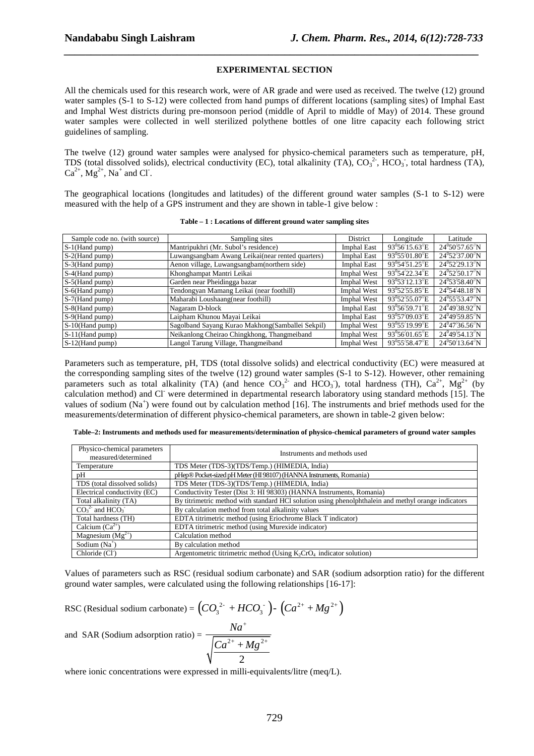### **EXPERIMENTAL SECTION**

*\_\_\_\_\_\_\_\_\_\_\_\_\_\_\_\_\_\_\_\_\_\_\_\_\_\_\_\_\_\_\_\_\_\_\_\_\_\_\_\_\_\_\_\_\_\_\_\_\_\_\_\_\_\_\_\_\_\_\_\_\_\_\_\_\_\_\_\_\_\_\_\_\_\_\_\_\_*

All the chemicals used for this research work, were of AR grade and were used as received. The twelve (12) ground water samples (S-1 to S-12) were collected from hand pumps of different locations (sampling sites) of Imphal East and Imphal West districts during pre-monsoon period (middle of April to middle of May) of 2014. These ground water samples were collected in well sterilized polythene bottles of one litre capacity each following strict guidelines of sampling.

The twelve (12) ground water samples were analysed for physico-chemical parameters such as temperature, pH, TDS (total dissolved solids), electrical conductivity (EC), total alkalinity  $(TA)$ ,  $CO_3^2$ ,  $HCO_3$ , total hardness (TA),  $Ca^{2+}$ ,  $Mg^{2+}$ ,  $Na^{+}$  and CI.

The geographical locations (longitudes and latitudes) of the different ground water samples (S-1 to S-12) were measured with the help of a GPS instrument and they are shown in table-1 give below :

| Sample code no. (with source) | Sampling sites                                    | District           | Longitude                   | Latitude                       |
|-------------------------------|---------------------------------------------------|--------------------|-----------------------------|--------------------------------|
| $S-1$ (Hand pump)             | Mantripukhri (Mr. Subol's residence)              | <b>Imphal East</b> | $93^0 56' 15.63'' E$        | $24^0 50' 57.65'' N$           |
| S-2(Hand pump)                | Luwangsangbam Awang Leikai(near rented quarters)  | <b>Imphal East</b> | $93^0 55' 01.80'' E$        | $24^0$ 52 $'37.00''$ N         |
| S-3(Hand pump)                | Aenon village, Luwangsangbam(northern side)       | <b>Imphal East</b> | $93^054'51.25''E$           | $24^0$ 52 $/29.13''$ N         |
| S-4(Hand pump)                | Khonghampat Mantri Leikai                         | Imphal West        | 93°54′22.34″E               | $24^0$ 52/50.17 <sup>/</sup> N |
| S-5(Hand pump)                | Garden near Pheidingga bazar                      | Imphal West        | $93^0 53' 12.13'' E$        | $24^0$ 53/58.40 <sup>%</sup> N |
| S-6(Hand pump)                | Tendongyan Mamang Leikai (near foothill)          | Imphal West        | $93^0 52' 55.85'' E$        | $24^054'48.18''N$              |
| S-7(Hand pump)                | Maharabi Loushaang(near foothill)                 | Imphal West        | $93^0$ 52'55.07"E           | $24^{\circ}55'53.47''N$        |
| S-8(Hand pump)                | Nagaram D-block                                   | <b>Imphal East</b> | $93^0 56' 59.71'' E$        | $24^{0}49'38.92''N$            |
| S-9(Hand pump)                | Laipham Khunou Mayai Leikai                       | Imphal East        | 93 <sup>0</sup> 57/09.03//E | $24^{0}49'59.85''N$            |
| S-10(Hand pump)               | Sagolband Sayang Kurao Makhong (Samballei Sekpil) | <b>Imphal West</b> | 93 <sup>0</sup> 55/19.99 E  | $24^{0}47'36.56''N$            |
| $S-11$ (Hand pump)            | Neikanlong Cheirao Chingkhong, Thangmeiband       | Imphal West        | $93^0 56' 01.65'' E$        | $24^{0}49'54.13''N$            |
| $S-12$ (Hand pump)            | Langol Tarung Village, Thangmeiband               | <b>Imphal West</b> | $93^{\circ}55'58.47''E$     | $24^{\circ}50'13.64''N$        |

|  |  |  | Table – 1 : Locations of different ground water sampling sites |
|--|--|--|----------------------------------------------------------------|
|--|--|--|----------------------------------------------------------------|

Parameters such as temperature, pH, TDS (total dissolve solids) and electrical conductivity (EC) were measured at the corresponding sampling sites of the twelve (12) ground water samples (S-1 to S-12). However, other remaining parameters such as total alkalinity (TA) (and hence  $CO_3^2$  and HCO<sub>3</sub>), total hardness (TH),  $Ca^{2+}$ , Mg<sup>2+</sup> (by calculation method) and Cl were determined in departmental research laboratory using standard methods [15]. The values of sodium (Na<sup>+</sup>) were found out by calculation method [16]. The instruments and brief methods used for the measurements/determination of different physico-chemical parameters, are shown in table-2 given below:

| Table-2: Instruments and methods used for measurements/determination of physico-chemical parameters of ground water samples |  |  |  |
|-----------------------------------------------------------------------------------------------------------------------------|--|--|--|
|-----------------------------------------------------------------------------------------------------------------------------|--|--|--|

| Physico-chemical parameters<br>Instruments and methods used<br>measured/determined                                           |                                                                        |  |  |  |  |  |
|------------------------------------------------------------------------------------------------------------------------------|------------------------------------------------------------------------|--|--|--|--|--|
| Temperature                                                                                                                  | TDS Meter (TDS-3)(TDS/Temp.) (HIMEDIA, India)                          |  |  |  |  |  |
| pΗ                                                                                                                           | pHep® Pocket-sized pH Meter (HI 98107) (HANNA Instruments, Romania)    |  |  |  |  |  |
| TDS (total dissolved solids)                                                                                                 | TDS Meter (TDS-3)(TDS/Temp.) (HIMEDIA, India)                          |  |  |  |  |  |
| Conductivity Tester (Dist 3: HI 98303) (HANNA Instruments, Romania)<br>Electrical conductivity (EC)                          |                                                                        |  |  |  |  |  |
| By titrimetric method with standard HCl solution using phenolphthalein and methyl orange indicators<br>Total alkalinity (TA) |                                                                        |  |  |  |  |  |
| $CO32$ and HCO <sub>3</sub>                                                                                                  | By calculation method from total alkalinity values                     |  |  |  |  |  |
| Total hardness (TH)                                                                                                          | EDTA titrimetric method (using Eriochrome Black T indicator)           |  |  |  |  |  |
| Calcium $(Ca^{2+})$                                                                                                          | EDTA titrimetric method (using Murexide indicator)                     |  |  |  |  |  |
| Magnesium $(Mg^{2+})$                                                                                                        | Calculation method                                                     |  |  |  |  |  |
| Sodium $(Na^+)$                                                                                                              | By calculation method                                                  |  |  |  |  |  |
| Chloride (Cl <sup>-</sup> )                                                                                                  | Argentometric titrimetric method (Using $K_2CrO_4$ indicator solution) |  |  |  |  |  |

Values of parameters such as RSC (residual sodium carbonate) and SAR (sodium adsorption ratio) for the different ground water samples, were calculated using the following relationships [16-17]:

RSC (Residual sodium carbonate) = 
$$
(CO_3^{2-} + HCO_3^{-})
$$
 -  $(Ca^{2+} + Mg^{2+})$   
and SAR (Sodium adsorption ratio) = 
$$
\frac{Na^{+}}{\sqrt{\frac{Ca^{2+} + Mg^{2+}}{2}}}
$$

where ionic concentrations were expressed in milli-equivalents/litre (meq/L).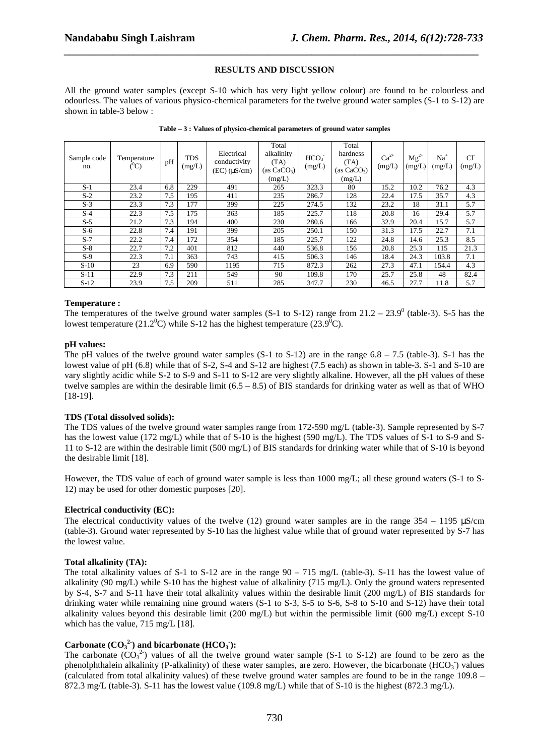### **RESULTS AND DISCUSSION**

*\_\_\_\_\_\_\_\_\_\_\_\_\_\_\_\_\_\_\_\_\_\_\_\_\_\_\_\_\_\_\_\_\_\_\_\_\_\_\_\_\_\_\_\_\_\_\_\_\_\_\_\_\_\_\_\_\_\_\_\_\_\_\_\_\_\_\_\_\_\_\_\_\_\_\_\_\_*

All the ground water samples (except S-10 which has very light yellow colour) are found to be colourless and odourless. The values of various physico-chemical parameters for the twelve ground water samples (S-1 to S-12) are shown in table-3 below :

| Sample code<br>no. | Temperature<br>$(^0C)$ | pH  | <b>TDS</b><br>(mg/L) | Electrical<br>conductivity<br>$(EC)$ $(\mu S/cm)$ | Total<br>alkalinity<br>(TA)<br>(as $CaCO3$ )<br>(mg/L) | HCO <sub>3</sub><br>(mg/L) | Total<br>hardness<br>(TA)<br>(as $CaCO3$ )<br>(mg/L) | $Ca2+$<br>(mg/L) | $Mg^{2+}$<br>(mg/L) | $Na+$<br>(mg/L) | $Cl-$<br>(mg/L) |
|--------------------|------------------------|-----|----------------------|---------------------------------------------------|--------------------------------------------------------|----------------------------|------------------------------------------------------|------------------|---------------------|-----------------|-----------------|
| $S-1$              | 23.4                   | 6.8 | 229                  | 491                                               | 265                                                    | 323.3                      | 80                                                   | 15.2             | 10.2                | 76.2            | 4.3             |
| $S-2$              | 23.2                   | 7.5 | 195                  | 411                                               | 235                                                    | 286.7                      | 128                                                  | 22.4             | 17.5                | 35.7            | 4.3             |
| $S-3$              | 23.3                   | 7.3 | 177                  | 399                                               | 225                                                    | 274.5                      | 132                                                  | 23.2             | 18                  | 31.1            | 5.7             |
| $S-4$              | 22.3                   | 7.5 | 175                  | 363                                               | 185                                                    | 225.7                      | 118                                                  | 20.8             | 16                  | 29.4            | 5.7             |
| $S-5$              | 21.2                   | 7.3 | 194                  | 400                                               | 230                                                    | 280.6                      | 166                                                  | 32.9             | 20.4                | 15.7            | 5.7             |
| $S-6$              | 22.8                   | 7.4 | 191                  | 399                                               | 205                                                    | 250.1                      | 150                                                  | 31.3             | 17.5                | 22.7            | 7.1             |
| $S-7$              | 22.2                   | 7.4 | 172                  | 354                                               | 185                                                    | 225.7                      | 122                                                  | 24.8             | 14.6                | 25.3            | 8.5             |
| $S-8$              | 22.7                   | 7.2 | 401                  | 812                                               | 440                                                    | 536.8                      | 156                                                  | 20.8             | 25.3                | 115             | 21.3            |
| $S-9$              | 22.3                   | 7.1 | 363                  | 743                                               | 415                                                    | 506.3                      | 146                                                  | 18.4             | 24.3                | 103.8           | 7.1             |
| $S-10$             | 23                     | 6.9 | 590                  | 1195                                              | 715                                                    | 872.3                      | 262                                                  | 27.3             | 47.1                | 154.4           | 4.3             |
| $S-11$             | 22.9                   | 7.3 | 211                  | 549                                               | 90                                                     | 109.8                      | 170                                                  | 25.7             | 25.8                | 48              | 82.4            |
| $S-12$             | 23.9                   | 7.5 | 209                  | 511                                               | 285                                                    | 347.7                      | 230                                                  | 46.5             | 27.7                | 11.8            | 5.7             |

**Table – 3 : Values of physico-chemical parameters of ground water samples** 

### **Temperature :**

The temperatures of the twelve ground water samples  $(S-1$  to  $S-12)$  range from  $21.2 - 23.9^{\circ}$  (table-3). S-5 has the lowest temperature (21.2<sup>0</sup>C) while S-12 has the highest temperature (23.9<sup>0</sup>C).

#### **pH values:**

The pH values of the twelve ground water samples  $(S-1$  to  $S-12$ ) are in the range  $6.8 - 7.5$  (table-3). S-1 has the lowest value of pH (6.8) while that of S-2, S-4 and S-12 are highest (7.5 each) as shown in table-3. S-1 and S-10 are vary slightly acidic while S-2 to S-9 and S-11 to S-12 are very slightly alkaline. However, all the pH values of these twelve samples are within the desirable limit  $(6.5 - 8.5)$  of BIS standards for drinking water as well as that of WHO [18-19].

### **TDS (Total dissolved solids):**

The TDS values of the twelve ground water samples range from 172-590 mg/L (table-3). Sample represented by S-7 has the lowest value (172 mg/L) while that of S-10 is the highest (590 mg/L). The TDS values of S-1 to S-9 and S-11 to S-12 are within the desirable limit (500 mg/L) of BIS standards for drinking water while that of S-10 is beyond the desirable limit [18].

However, the TDS value of each of ground water sample is less than 1000 mg/L; all these ground waters (S-1 to S-12) may be used for other domestic purposes [20].

### **Electrical conductivity (EC):**

The electrical conductivity values of the twelve (12) ground water samples are in the range  $354 - 1195 \mu S/cm$ (table-3). Ground water represented by S-10 has the highest value while that of ground water represented by S-7 has the lowest value.

#### **Total alkalinity (TA):**

The total alkalinity values of S-1 to S-12 are in the range 90 – 715 mg/L (table-3). S-11 has the lowest value of alkalinity (90 mg/L) while S-10 has the highest value of alkalinity (715 mg/L). Only the ground waters represented by S-4, S-7 and S-11 have their total alkalinity values within the desirable limit (200 mg/L) of BIS standards for drinking water while remaining nine ground waters (S-1 to S-3, S-5 to S-6, S-8 to S-10 and S-12) have their total alkalinity values beyond this desirable limit (200 mg/L) but within the permissible limit (600 mg/L) except S-10 which has the value, 715 mg/L [18].

# **Carbonate (CO** $_3^2$ ) and bicarbonate (HCO<sub>3</sub>):

The carbonate  $(CO_3^2)$  values of all the twelve ground water sample (S-1 to S-12) are found to be zero as the phenolphthalein alkalinity (P-alkalinity) of these water samples, are zero. However, the bicarbonate  $(HCO<sub>3</sub>)$  values (calculated from total alkalinity values) of these twelve ground water samples are found to be in the range 109.8 – 872.3 mg/L (table-3). S-11 has the lowest value (109.8 mg/L) while that of S-10 is the highest (872.3 mg/L).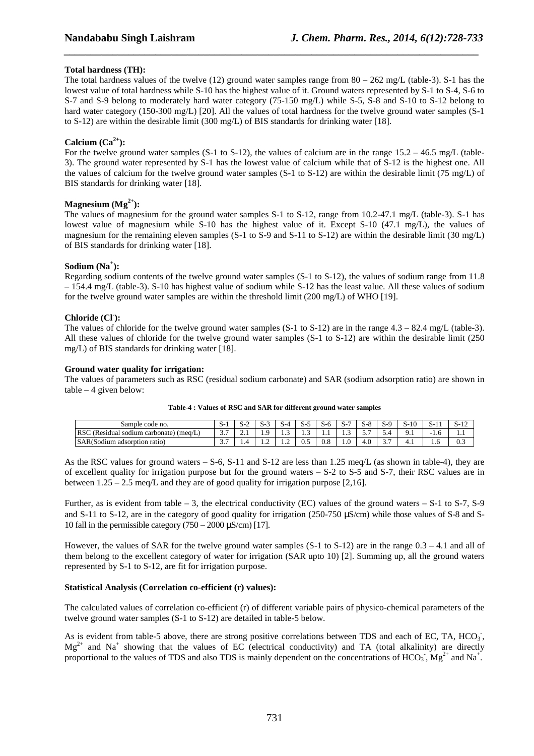# **Total hardness (TH):**

The total hardness values of the twelve (12) ground water samples range from  $80 - 262$  mg/L (table-3). S-1 has the lowest value of total hardness while S-10 has the highest value of it. Ground waters represented by S-1 to S-4, S-6 to S-7 and S-9 belong to moderately hard water category (75-150 mg/L) while S-5, S-8 and S-10 to S-12 belong to hard water category (150-300 mg/L) [20]. All the values of total hardness for the twelve ground water samples (S-1) to S-12) are within the desirable limit (300 mg/L) of BIS standards for drinking water [18].

*\_\_\_\_\_\_\_\_\_\_\_\_\_\_\_\_\_\_\_\_\_\_\_\_\_\_\_\_\_\_\_\_\_\_\_\_\_\_\_\_\_\_\_\_\_\_\_\_\_\_\_\_\_\_\_\_\_\_\_\_\_\_\_\_\_\_\_\_\_\_\_\_\_\_\_\_\_*

## **Calcium**  $(Ca^{2+})$ :

For the twelve ground water samples (S-1 to S-12), the values of calcium are in the range  $15.2 - 46.5$  mg/L (table-3). The ground water represented by S-1 has the lowest value of calcium while that of S-12 is the highest one. All the values of calcium for the twelve ground water samples (S-1 to S-12) are within the desirable limit (75 mg/L) of BIS standards for drinking water [18].

### **Magnesium**  $(Mg^{2+})$ :

The values of magnesium for the ground water samples S-1 to S-12, range from 10.2-47.1 mg/L (table-3). S-1 has lowest value of magnesium while S-10 has the highest value of it. Except S-10 (47.1 mg/L), the values of magnesium for the remaining eleven samples (S-1 to S-9 and S-11 to S-12) are within the desirable limit (30 mg/L) of BIS standards for drinking water [18].

# **Sodium (Na<sup>+</sup> ):**

Regarding sodium contents of the twelve ground water samples (S-1 to S-12), the values of sodium range from 11.8 – 154.4 mg/L (table-3). S-10 has highest value of sodium while S-12 has the least value. All these values of sodium for the twelve ground water samples are within the threshold limit (200 mg/L) of WHO [19].

# **Chloride (Cl- ):**

The values of chloride for the twelve ground water samples  $(S-1)$  to  $S-12$ ) are in the range  $4.3 - 82.4$  mg/L (table-3). All these values of chloride for the twelve ground water samples (S-1 to S-12) are within the desirable limit (250 mg/L) of BIS standards for drinking water [18].

### **Ground water quality for irrigation:**

The values of parameters such as RSC (residual sodium carbonate) and SAR (sodium adsorption ratio) are shown in  $table - 4$  given below:

| Sample code no.                                                   | - 20     |          |                | ້              | ۰.<br>້      | o        | - 0              | -0              |                    | S-10 | ້ | 1 <sup>2</sup><br>3-12 |
|-------------------------------------------------------------------|----------|----------|----------------|----------------|--------------|----------|------------------|-----------------|--------------------|------|---|------------------------|
| <b>RSC</b><br>(Residual<br>$\lq$ (meq/L,<br>i carbonate<br>sodium | ، ، ب    | <u>.</u> | .              | .              | .            | .        | $\sqrt{2}$<br>سد | . .<br><u>.</u> | .                  | 7.1  | . | 1.1                    |
| SAR(Sodium<br>i adsorption ratio)                                 | <u>.</u> |          | $\overline{1}$ | $\overline{1}$ | $\mathbf{v}$ | $_{0.8}$ | 1.V              | 4.0             | $\sim$ $\sim$<br>، | T. 1 | . | $\sim$<br>U.S          |

| Table-4 : Values of RSC and SAR for different ground water samples |  |
|--------------------------------------------------------------------|--|
|                                                                    |  |

As the RSC values for ground waters – S-6, S-11 and S-12 are less than 1.25 meq/L (as shown in table-4), they are of excellent quality for irrigation purpose but for the ground waters  $-$  S-2 to S-5 and S-7, their RSC values are in between  $1.25 - 2.5$  meq/L and they are of good quality for irrigation purpose [2,16].

Further, as is evident from table  $-3$ , the electrical conductivity (EC) values of the ground waters  $-$  S-1 to S-7, S-9 and S-11 to S-12, are in the category of good quality for irrigation (250-750  $\mu$ S/cm) while those values of S-8 and S-10 fall in the permissible category  $(750 - 2000 \,\mu\text{S/cm})$  [17].

However, the values of SAR for the twelve ground water samples  $(S-1)$  to  $(S-1)$  are in the range  $(0.3 - 4.1)$  and all of them belong to the excellent category of water for irrigation (SAR upto 10) [2]. Summing up, all the ground waters represented by S-1 to S-12, are fit for irrigation purpose.

### **Statistical Analysis (Correlation co-efficient (r) values):**

The calculated values of correlation co-efficient (r) of different variable pairs of physico-chemical parameters of the twelve ground water samples (S-1 to S-12) are detailed in table-5 below.

As is evident from table-5 above, there are strong positive correlations between TDS and each of EC, TA, HCO<sub>3</sub>,  $Mg^{2+}$  and  $Na^{+}$  showing that the values of EC (electrical conductivity) and TA (total alkalinity) are directly proportional to the values of TDS and also TDS is mainly dependent on the concentrations of  $HCO_3$ ,  $Mg^{2+}$  and Na<sup>+</sup>.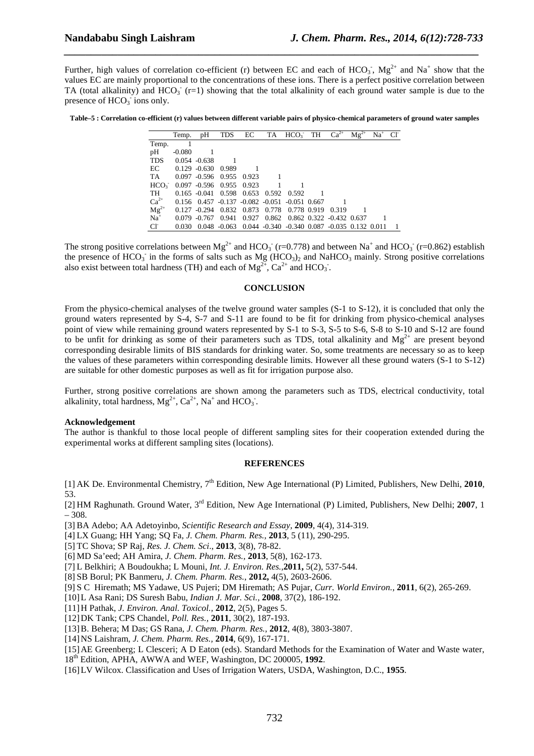Further, high values of correlation co-efficient (r) between EC and each of  $HCO_3$ ,  $Mg^{2+}$  and  $Na^+$  show that the values EC are mainly proportional to the concentrations of these ions. There is a perfect positive correlation between TA (total alkalinity) and  $HCO_3^-$  (r=1) showing that the total alkalinity of each ground water sample is due to the presence of  $HCO<sub>3</sub>$  ions only.

*\_\_\_\_\_\_\_\_\_\_\_\_\_\_\_\_\_\_\_\_\_\_\_\_\_\_\_\_\_\_\_\_\_\_\_\_\_\_\_\_\_\_\_\_\_\_\_\_\_\_\_\_\_\_\_\_\_\_\_\_\_\_\_\_\_\_\_\_\_\_\_\_\_\_\_\_\_*

**Table–5 : Correlation co-efficient (r) values between different variable pairs of physico-chemical parameters of ground water samples** 

|                  | Temp.    | pH                    | <b>TDS</b>  | EC          | TA    | $HCO3$ TH                                                   | $\overline{\text{Ca}^{2+}}$ | $Mg^{2+}$ | $Na+$ | $\Gamma$ |
|------------------|----------|-----------------------|-------------|-------------|-------|-------------------------------------------------------------|-----------------------------|-----------|-------|----------|
| Temp.            |          |                       |             |             |       |                                                             |                             |           |       |          |
| pH               | $-0.080$ |                       |             |             |       |                                                             |                             |           |       |          |
| <b>TDS</b>       |          | $0.054 - 0.638$       |             |             |       |                                                             |                             |           |       |          |
| EC               |          | $0.129 - 0.630$       | 0.989       |             |       |                                                             |                             |           |       |          |
| TA               |          | $0.097 - 0.596$       | 0.955 0.923 |             |       |                                                             |                             |           |       |          |
| HCO <sub>3</sub> |          | $0.097 - 0.596$ 0.955 |             | 0.923       |       |                                                             |                             |           |       |          |
| TH               |          | $0.165 - 0.041$       | 0.598       | 0.653       | 0.592 | 0.592                                                       |                             |           |       |          |
| $Ca^{2+}$        |          |                       |             |             |       | $0.156$ $0.457$ $-0.137$ $-0.082$ $-0.051$ $-0.051$ $0.667$ |                             |           |       |          |
| $Mg^{2+}$        | 0.127    | $-0.294$              |             | 0.832 0.873 | 0.778 | 0.778 0.919                                                 | 0.319                       |           |       |          |
| $Na+$            | 0.079    | $-0.767$              | 0.941       | 0.927       |       | 0.862 0.862 0.322 -0.432 0.637                              |                             |           |       |          |
| $Cl^{\dagger}$   | 0.030    | 0.048                 | $-0.063$    |             |       | $0.044 - 0.340 - 0.340 0.087 - 0.035 0.132$                 |                             |           | 0.011 |          |

The strong positive correlations between  $Mg^{2+}$  and HCO<sub>3</sub> (r=0.778) and between Na<sup>+</sup> and HCO<sub>3</sub> (r=0.862) establish the presence of  $HCO_3^-$  in the forms of salts such as Mg  $(HCO_3)_2$  and NaHCO<sub>3</sub> mainly. Strong positive correlations also exist between total hardness (TH) and each of  $Mg^{2+}$ , Ca<sup>2+</sup> and HCO<sub>3</sub>.

#### **CONCLUSION**

From the physico-chemical analyses of the twelve ground water samples (S-1 to S-12), it is concluded that only the ground waters represented by S-4, S-7 and S-11 are found to be fit for drinking from physico-chemical analyses point of view while remaining ground waters represented by S-1 to S-3, S-5 to S-6, S-8 to S-10 and S-12 are found to be unfit for drinking as some of their parameters such as TDS, total alkalinity and  $Mg^{2+}$  are present beyond corresponding desirable limits of BIS standards for drinking water. So, some treatments are necessary so as to keep the values of these parameters within corresponding desirable limits. However all these ground waters (S-1 to S-12) are suitable for other domestic purposes as well as fit for irrigation purpose also.

Further, strong positive correlations are shown among the parameters such as TDS, electrical conductivity, total alkalinity, total hardness,  $Mg^{2+}$ ,  $Ca^{2+}$ ,  $Na^{+}$  and  $HCO_3^-$ .

#### **Acknowledgement**

The author is thankful to those local people of different sampling sites for their cooperation extended during the experimental works at different sampling sites (locations).

#### **REFERENCES**

[1] AK De. Environmental Chemistry, 7th Edition, New Age International (P) Limited, Publishers, New Delhi, **2010**, 53.

[2] HM Raghunath. Ground Water, 3rd Edition, New Age International (P) Limited, Publishers, New Delhi; **2007**, 1 – 308.

[3] BA Adebo; AA Adetoyinbo, *Scientific Research and Essay,* **2009**, 4(4), 314-319.

[4] LX Guang; HH Yang; SQ Fa, *J. Chem. Pharm. Res.,* **2013**, 5 (11), 290-295.

[5] TC Shova; SP Raj, *Res. J. Chem. Sci*., **2013**, 3(8), 78-82.

[6] MD Sa'eed; AH Amira, *J. Chem. Pharm. Res.,* **2013**, 5(8), 162-173.

[7] L Belkhiri; A Boudoukha; L Mouni, *Int. J. Environ. Res.,***2011,** 5(2), 537-544.

[8] SB Borul; PK Banmeru, *J. Chem. Pharm. Res.*, **2012,** 4(5), 2603-2606.

[9] S C Hiremath; MS Yadawe, US Pujeri; DM Hiremath; AS Pujar, *Curr. World Environ.*, **2011**, 6(2), 265-269.

[10] L Asa Rani; DS Suresh Babu, *Indian J. Mar. Sci.,* **2008**, 37(2), 186-192.

- [11] H Pathak, *J. Environ. Anal. Toxicol.,* **2012**, 2(5), Pages 5.
- [12] DK Tank; CPS Chandel, *Poll. Res.,* **2011**, 30(2), 187-193.
- [13] B. Behera; M Das; GS Rana, *J. Chem. Pharm. Res.,* **2012**, 4(8), 3803-3807.
- [14] NS Laishram, *J. Chem. Pharm. Res.,* **2014**, 6(9), 167-171.
- [15] AE Greenberg; L Clesceri; A D Eaton (eds). Standard Methods for the Examination of Water and Waste water,
- 18th Edition, APHA, AWWA and WEF, Washington, DC 200005, **1992**.
- [16] LV Wilcox. Classification and Uses of Irrigation Waters, USDA, Washington, D.C., **1955**.